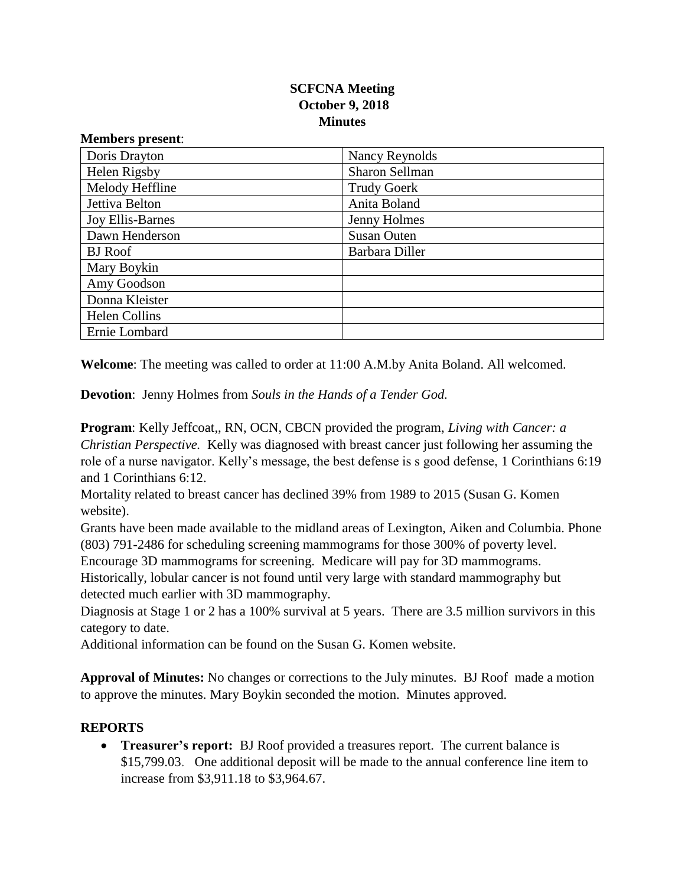## **SCFCNA Meeting October 9, 2018 Minutes**

| www.charles present.    |                    |
|-------------------------|--------------------|
| Doris Drayton           | Nancy Reynolds     |
| Helen Rigsby            | Sharon Sellman     |
| Melody Heffline         | <b>Trudy Goerk</b> |
| Jettiva Belton          | Anita Boland       |
| <b>Joy Ellis-Barnes</b> | Jenny Holmes       |
| Dawn Henderson          | <b>Susan Outen</b> |
| <b>BJ</b> Roof          | Barbara Diller     |
| Mary Boykin             |                    |
| Amy Goodson             |                    |
| Donna Kleister          |                    |
| <b>Helen Collins</b>    |                    |
| Ernie Lombard           |                    |

**Welcome**: The meeting was called to order at 11:00 A.M.by Anita Boland. All welcomed.

**Devotion**: Jenny Holmes from *Souls in the Hands of a Tender God.* 

**Program**: Kelly Jeffcoat,, RN, OCN, CBCN provided the program, *Living with Cancer: a Christian Perspective.* Kelly was diagnosed with breast cancer just following her assuming the role of a nurse navigator. Kelly's message, the best defense is s good defense, 1 Corinthians 6:19 and 1 Corinthians 6:12.

Mortality related to breast cancer has declined 39% from 1989 to 2015 (Susan G. Komen website).

Grants have been made available to the midland areas of Lexington, Aiken and Columbia. Phone (803) 791-2486 for scheduling screening mammograms for those 300% of poverty level.

Encourage 3D mammograms for screening. Medicare will pay for 3D mammograms.

Historically, lobular cancer is not found until very large with standard mammography but detected much earlier with 3D mammography.

Diagnosis at Stage 1 or 2 has a 100% survival at 5 years. There are 3.5 million survivors in this category to date.

Additional information can be found on the Susan G. Komen website.

**Approval of Minutes:** No changes or corrections to the July minutes. BJ Roof made a motion to approve the minutes. Mary Boykin seconded the motion. Minutes approved.

## **REPORTS**

**Members present**:

• **Treasurer's report:** BJ Roof provided a treasures report. The current balance is \$15,799.03. One additional deposit will be made to the annual conference line item to increase from \$3,911.18 to \$3,964.67.